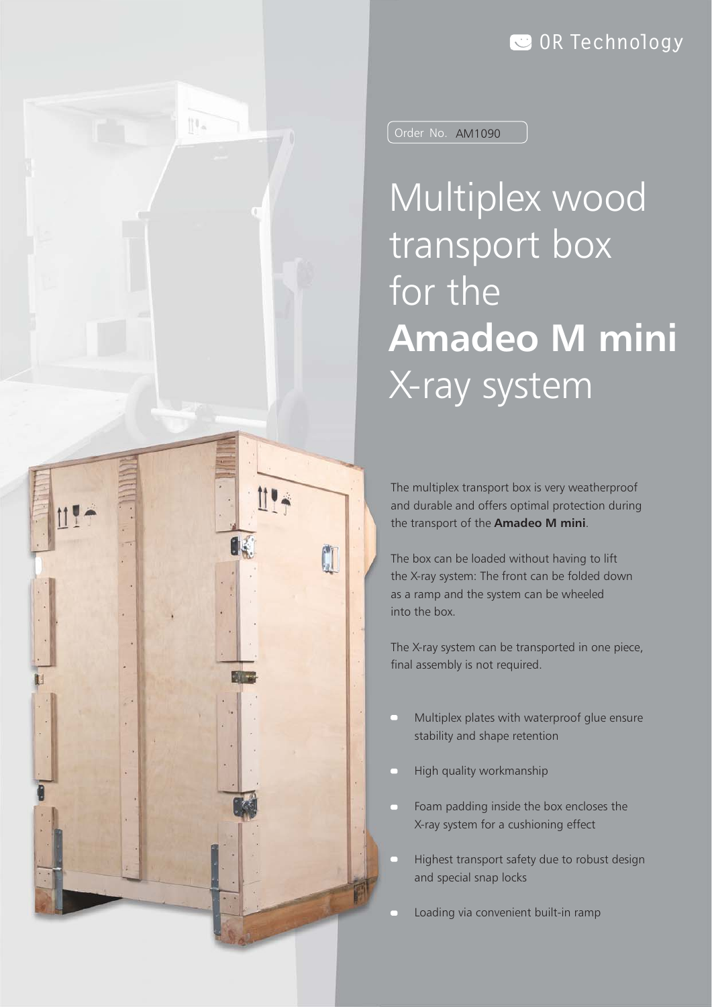## **OR Technology**



Order No. AM1090

Multiplex wood transport box for the **Amadeo M mini** X-ray system

The multiplex transport box is very weatherproof and durable and offers optimal protection during the transport of the **Amadeo M mini**.

The box can be loaded without having to lift the X-ray system: The front can be folded down as a ramp and the system can be wheeled into the box.

The X-ray system can be transported in one piece, final assembly is not required.

- Multiplex plates with waterproof glue ensure stability and shape retention
- High quality workmanship
- Foam padding inside the box encloses the a l X-ray system for a cushioning effect
- Highest transport safety due to robust design and special snap locks
- Loading via convenient built-in ramp